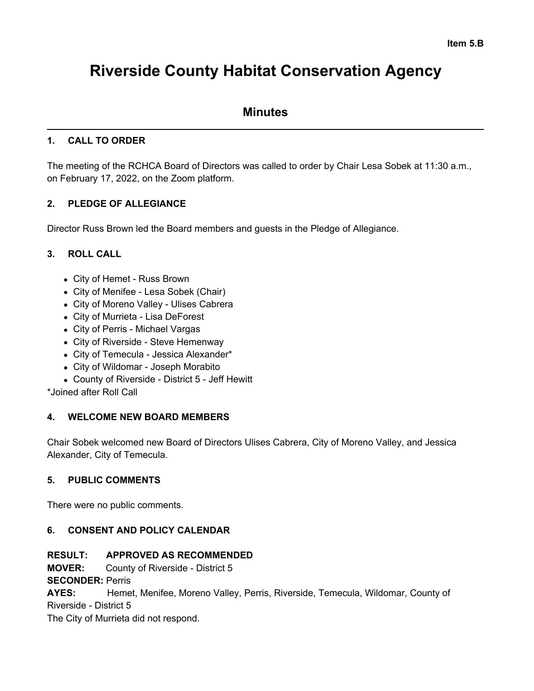# **Riverside County Habitat Conservation Agency**

# **Minutes**

# **1. CALL TO ORDER**

The meeting of the RCHCA Board of Directors was called to order by Chair Lesa Sobek at 11:30 a.m., on February 17, 2022, on the Zoom platform.

# **2. PLEDGE OF ALLEGIANCE**

Director Russ Brown led the Board members and guests in the Pledge of Allegiance.

# **3. ROLL CALL**

- City of Hemet Russ Brown
- City of Menifee Lesa Sobek (Chair)
- City of Moreno Valley Ulises Cabrera
- City of Murrieta Lisa DeForest
- City of Perris Michael Vargas
- City of Riverside Steve Hemenway
- City of Temecula Jessica Alexander\*
- City of Wildomar Joseph Morabito
- County of Riverside District 5 Jeff Hewitt

\*Joined after Roll Call

# **4. WELCOME NEW BOARD MEMBERS**

Chair Sobek welcomed new Board of Directors Ulises Cabrera, City of Moreno Valley, and Jessica Alexander, City of Temecula.

# **5. PUBLIC COMMENTS**

There were no public comments.

# **6. CONSENT AND POLICY CALENDAR**

# **RESULT: APPROVED AS RECOMMENDED**

**MOVER:** County of Riverside - District 5

**SECONDER:** Perris

**AYES:** Hemet, Menifee, Moreno Valley, Perris, Riverside, Temecula, Wildomar, County of Riverside - District 5

The City of Murrieta did not respond.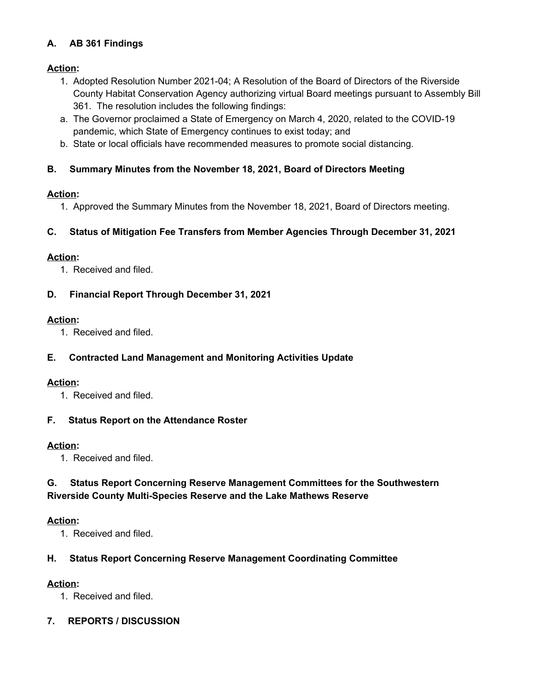# **A. AB 361 Findings**

# **Action:**

- 1. Adopted Resolution Number 2021-04; A Resolution of the Board of Directors of the Riverside County Habitat Conservation Agency authorizing virtual Board meetings pursuant to Assembly Bill 361. The resolution includes the following findings:
- a. The Governor proclaimed a State of Emergency on March 4, 2020, related to the COVID-19 pandemic, which State of Emergency continues to exist today; and
- b. State or local officials have recommended measures to promote social distancing.

# **B. Summary Minutes from the November 18, 2021, Board of Directors Meeting**

# **Action:**

1. Approved the Summary Minutes from the November 18, 2021, Board of Directors meeting.

# **C. Status of Mitigation Fee Transfers from Member Agencies Through December 31, 2021**

# **Action:**

1. Received and filed.

# **D. Financial Report Through December 31, 2021**

## **Action:**

1. Received and filed.

# **E. Contracted Land Management and Monitoring Activities Update**

## **Action:**

1. Received and filed.

## **F. Status Report on the Attendance Roster**

## **Action:**

1. Received and filed.

# **G. Status Report Concerning Reserve Management Committees for the Southwestern Riverside County Multi-Species Reserve and the Lake Mathews Reserve**

## **Action:**

1. Received and filed.

# **H. Status Report Concerning Reserve Management Coordinating Committee**

# **Action:**

1. Received and filed.

# **7. REPORTS / DISCUSSION**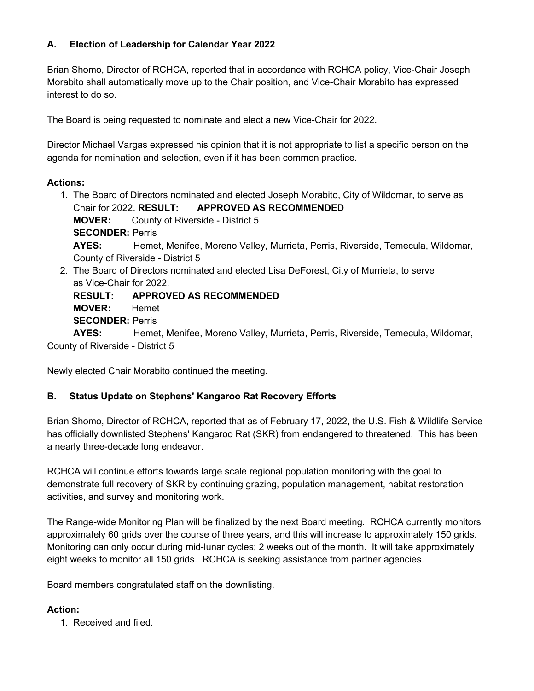# **A. Election of Leadership for Calendar Year 2022**

Brian Shomo, Director of RCHCA, reported that in accordance with RCHCA policy, Vice-Chair Joseph Morabito shall automatically move up to the Chair position, and Vice-Chair Morabito has expressed interest to do so.

The Board is being requested to nominate and elect a new Vice-Chair for 2022.

Director Michael Vargas expressed his opinion that it is not appropriate to list a specific person on the agenda for nomination and selection, even if it has been common practice.

# **Actions:**

- 1. The Board of Directors nominated and elected Joseph Morabito, City of Wildomar, to serve as Chair for 2022. **RESULT: APPROVED AS RECOMMENDED MOVER:** County of Riverside - District 5 **SECONDER:** Perris **AYES:** Hemet, Menifee, Moreno Valley, Murrieta, Perris, Riverside, Temecula, Wildomar, County of Riverside - District 5
- 2. The Board of Directors nominated and elected Lisa DeForest, City of Murrieta, to serve as Vice-Chair for 2022.

**RESULT: APPROVED AS RECOMMENDED MOVER:** Hemet **SECONDER:** Perris

**AYES:** Hemet, Menifee, Moreno Valley, Murrieta, Perris, Riverside, Temecula, Wildomar, County of Riverside - District 5

Newly elected Chair Morabito continued the meeting.

## **B. Status Update on Stephens' Kangaroo Rat Recovery Efforts**

Brian Shomo, Director of RCHCA, reported that as of February 17, 2022, the U.S. Fish & Wildlife Service has officially downlisted Stephens' Kangaroo Rat (SKR) from endangered to threatened. This has been a nearly three-decade long endeavor.

RCHCA will continue efforts towards large scale regional population monitoring with the goal to demonstrate full recovery of SKR by continuing grazing, population management, habitat restoration activities, and survey and monitoring work.

The Range-wide Monitoring Plan will be finalized by the next Board meeting. RCHCA currently monitors approximately 60 grids over the course of three years, and this will increase to approximately 150 grids. Monitoring can only occur during mid-lunar cycles; 2 weeks out of the month. It will take approximately eight weeks to monitor all 150 grids. RCHCA is seeking assistance from partner agencies.

Board members congratulated staff on the downlisting.

# **Action:**

1. Received and filed.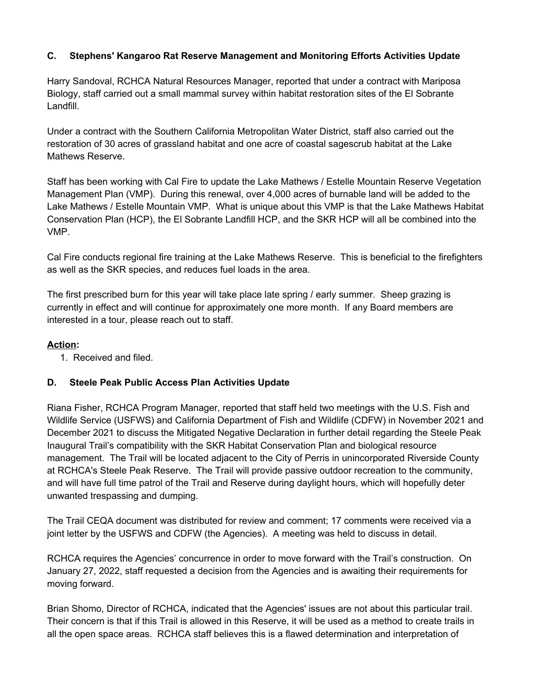# **C. Stephens' Kangaroo Rat Reserve Management and Monitoring Efforts Activities Update**

Harry Sandoval, RCHCA Natural Resources Manager, reported that under a contract with Mariposa Biology, staff carried out a small mammal survey within habitat restoration sites of the El Sobrante Landfill.

Under a contract with the Southern California Metropolitan Water District, staff also carried out the restoration of 30 acres of grassland habitat and one acre of coastal sagescrub habitat at the Lake Mathews Reserve.

Staff has been working with Cal Fire to update the Lake Mathews / Estelle Mountain Reserve Vegetation Management Plan (VMP). During this renewal, over 4,000 acres of burnable land will be added to the Lake Mathews / Estelle Mountain VMP. What is unique about this VMP is that the Lake Mathews Habitat Conservation Plan (HCP), the El Sobrante Landfill HCP, and the SKR HCP will all be combined into the VMP.

Cal Fire conducts regional fire training at the Lake Mathews Reserve. This is beneficial to the firefighters as well as the SKR species, and reduces fuel loads in the area.

The first prescribed burn for this year will take place late spring / early summer. Sheep grazing is currently in effect and will continue for approximately one more month. If any Board members are interested in a tour, please reach out to staff.

## **Action:**

1. Received and filed.

## **D. Steele Peak Public Access Plan Activities Update**

Riana Fisher, RCHCA Program Manager, reported that staff held two meetings with the U.S. Fish and Wildlife Service (USFWS) and California Department of Fish and Wildlife (CDFW) in November 2021 and December 2021 to discuss the Mitigated Negative Declaration in further detail regarding the Steele Peak Inaugural Trail's compatibility with the SKR Habitat Conservation Plan and biological resource management. The Trail will be located adjacent to the City of Perris in unincorporated Riverside County at RCHCA's Steele Peak Reserve. The Trail will provide passive outdoor recreation to the community, and will have full time patrol of the Trail and Reserve during daylight hours, which will hopefully deter unwanted trespassing and dumping.

The Trail CEQA document was distributed for review and comment; 17 comments were received via a joint letter by the USFWS and CDFW (the Agencies). A meeting was held to discuss in detail.

RCHCA requires the Agencies' concurrence in order to move forward with the Trail's construction. On January 27, 2022, staff requested a decision from the Agencies and is awaiting their requirements for moving forward.

Brian Shomo, Director of RCHCA, indicated that the Agencies' issues are not about this particular trail. Their concern is that if this Trail is allowed in this Reserve, it will be used as a method to create trails in all the open space areas. RCHCA staff believes this is a flawed determination and interpretation of